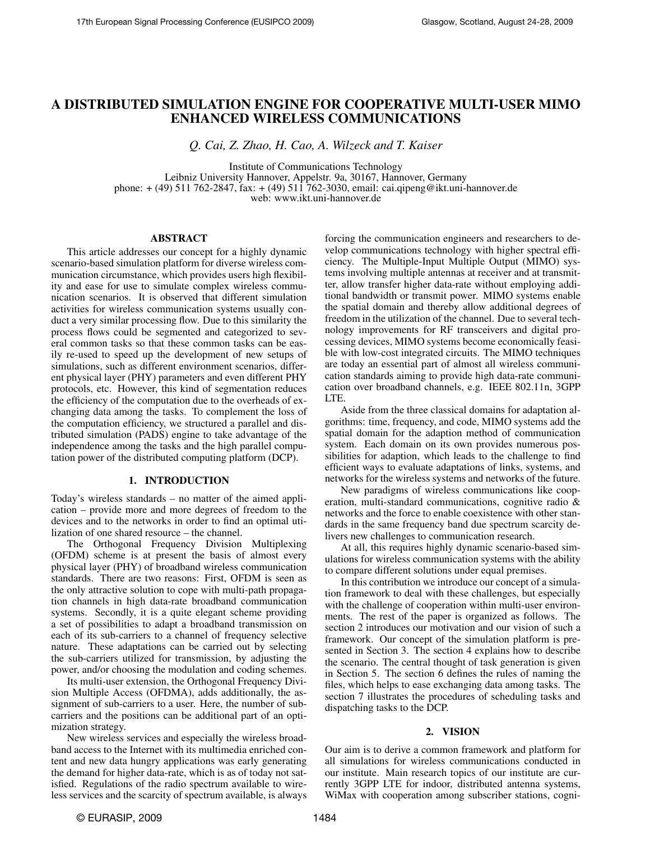# A DISTRIBUTED SIMULATION ENGINE FOR COOPERATIVE MULTI-USER MIMO ENHANCED WIRELESS COMMUNICATIONS

*Q. Cai, Z. Zhao, H. Cao, A. Wilzeck and T. Kaiser*

Institute of Communications Technology Leibniz University Hannover, Appelstr. 9a, 30167, Hannover, Germany phone: + (49) 511 762-2847, fax: + (49) 511 762-3030, email: cai.qipeng@ikt.uni-hannover.de web: www.ikt.uni-hannover.de

#### ABSTRACT

This article addresses our concept for a highly dynamic scenario-based simulation platform for diverse wireless communication circumstance, which provides users high flexibility and ease for use to simulate complex wireless communication scenarios. It is observed that different simulation activities for wireless communication systems usually conduct a very similar processing flow. Due to this similarity the process flows could be segmented and categorized to several common tasks so that these common tasks can be easily re-used to speed up the development of new setups of simulations, such as different environment scenarios, different physical layer (PHY) parameters and even different PHY protocols, etc. However, this kind of segmentation reduces the efficiency of the computation due to the overheads of exchanging data among the tasks. To complement the loss of the computation efficiency, we structured a parallel and distributed simulation (PADS) engine to take advantage of the independence among the tasks and the high parallel computation power of the distributed computing platform (DCP).

## 1. INTRODUCTION

Today's wireless standards – no matter of the aimed application – provide more and more degrees of freedom to the devices and to the networks in order to find an optimal utilization of one shared resource – the channel.

The Orthogonal Frequency Division Multiplexing (OFDM) scheme is at present the basis of almost every physical layer (PHY) of broadband wireless communication standards. There are two reasons: First, OFDM is seen as the only attractive solution to cope with multi-path propagation channels in high data-rate broadband communication systems. Secondly, it is a quite elegant scheme providing a set of possibilities to adapt a broadband transmission on each of its sub-carriers to a channel of frequency selective nature. These adaptations can be carried out by selecting the sub-carriers utilized for transmission, by adjusting the power, and/or choosing the modulation and coding schemes.

Its multi-user extension, the Orthogonal Frequency Division Multiple Access (OFDMA), adds additionally, the assignment of sub-carriers to a user. Here, the number of subcarriers and the positions can be additional part of an optimization strategy.

New wireless services and especially the wireless broadband access to the Internet with its multimedia enriched content and new data hungry applications was early generating the demand for higher data-rate, which is as of today not satisfied. Regulations of the radio spectrum available to wireless services and the scarcity of spectrum available, is always

forcing the communication engineers and researchers to develop communications technology with higher spectral efficiency. The Multiple-Input Multiple Output (MIMO) systems involving multiple antennas at receiver and at transmitter, allow transfer higher data-rate without employing additional bandwidth or transmit power. MIMO systems enable the spatial domain and thereby allow additional degrees of freedom in the utilization of the channel. Due to several technology improvements for RF transceivers and digital processing devices, MIMO systems become economically feasible with low-cost integrated circuits. The MIMO techniques are today an essential part of almost all wireless communication standards aiming to provide high data-rate communication over broadband channels, e.g. IEEE 802.11n, 3GPP LTE.

Aside from the three classical domains for adaptation algorithms: time, frequency, and code, MIMO systems add the spatial domain for the adaption method of communication system. Each domain on its own provides numerous possibilities for adaption, which leads to the challenge to find efficient ways to evaluate adaptations of links, systems, and networks for the wireless systems and networks of the future.

New paradigms of wireless communications like cooperation, multi-standard communications, cognitive radio & networks and the force to enable coexistence with other standards in the same frequency band due spectrum scarcity delivers new challenges to communication research.

At all, this requires highly dynamic scenario-based simulations for wireless communication systems with the ability to compare different solutions under equal premises.

In this contribution we introduce our concept of a simulation framework to deal with these challenges, but especially with the challenge of cooperation within multi-user environments. The rest of the paper is organized as follows. The section 2 introduces our motivation and our vision of such a framework. Our concept of the simulation platform is presented in Section 3. The section 4 explains how to describe the scenario. The central thought of task generation is given in Section 5. The section 6 defines the rules of naming the files, which helps to ease exchanging data among tasks. The section 7 illustrates the procedures of scheduling tasks and dispatching tasks to the DCP.

#### 2. VISION

Our aim is to derive a common framework and platform for all simulations for wireless communications conducted in our institute. Main research topics of our institute are currently 3GPP LTE for indoor, distributed antenna systems, WiMax with cooperation among subscriber stations, cogni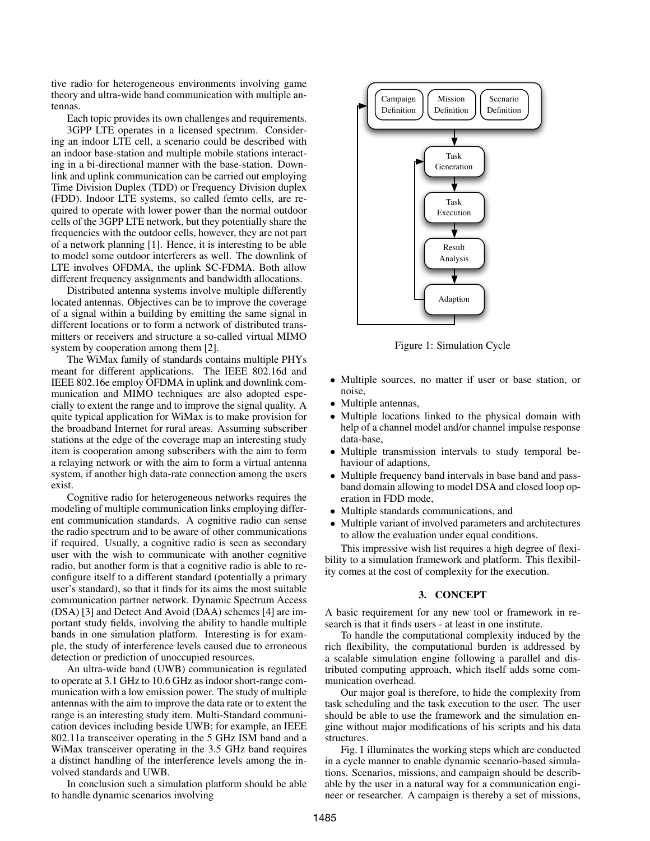tive radio for heterogeneous environments involving game theory and ultra-wide band communication with multiple antennas.

Each topic provides its own challenges and requirements. 3GPP LTE operates in a licensed spectrum. Considering an indoor LTE cell, a scenario could be described with an indoor base-station and multiple mobile stations interacting in a bi-directional manner with the base-station. Downlink and uplink communication can be carried out employing Time Division Duplex (TDD) or Frequency Division duplex (FDD). Indoor LTE systems, so called femto cells, are required to operate with lower power than the normal outdoor cells of the 3GPP LTE network, but they potentially share the frequencies with the outdoor cells, however, they are not part of a network planning [1]. Hence, it is interesting to be able to model some outdoor interferers as well. The downlink of LTE involves OFDMA, the uplink SC-FDMA. Both allow different frequency assignments and bandwidth allocations.

Distributed antenna systems involve multiple differently located antennas. Objectives can be to improve the coverage of a signal within a building by emitting the same signal in different locations or to form a network of distributed transmitters or receivers and structure a so-called virtual MIMO system by cooperation among them [2].

The WiMax family of standards contains multiple PHYs meant for different applications. The IEEE 802.16d and IEEE 802.16e employ OFDMA in uplink and downlink communication and MIMO techniques are also adopted especially to extent the range and to improve the signal quality. A quite typical application for WiMax is to make provision for the broadband Internet for rural areas. Assuming subscriber stations at the edge of the coverage map an interesting study item is cooperation among subscribers with the aim to form a relaying network or with the aim to form a virtual antenna system, if another high data-rate connection among the users exist.

Cognitive radio for heterogeneous networks requires the modeling of multiple communication links employing different communication standards. A cognitive radio can sense the radio spectrum and to be aware of other communications if required. Usually, a cognitive radio is seen as secondary user with the wish to communicate with another cognitive radio, but another form is that a cognitive radio is able to reconfigure itself to a different standard (potentially a primary user's standard), so that it finds for its aims the most suitable communication partner network. Dynamic Spectrum Access (DSA) [3] and Detect And Avoid (DAA) schemes [4] are important study fields, involving the ability to handle multiple bands in one simulation platform. Interesting is for example, the study of interference levels caused due to erroneous detection or prediction of unoccupied resources.

An ultra-wide band (UWB) communication is regulated to operate at 3.1 GHz to 10.6 GHz as indoor short-range communication with a low emission power. The study of multiple antennas with the aim to improve the data rate or to extent the range is an interesting study item. Multi-Standard communication devices including beside UWB; for example, an IEEE 802.11a transceiver operating in the 5 GHz ISM band and a WiMax transceiver operating in the 3.5 GHz band requires a distinct handling of the interference levels among the involved standards and UWB.

In conclusion such a simulation platform should be able to handle dynamic scenarios involving



Figure 1: Simulation Cycle

- Multiple sources, no matter if user or base station, or noise,
- Multiple antennas,
- Multiple locations linked to the physical domain with help of a channel model and/or channel impulse response data-base,
- Multiple transmission intervals to study temporal behaviour of adaptions,
- Multiple frequency band intervals in base band and passband domain allowing to model DSA and closed loop operation in FDD mode,
- Multiple standards communications, and
- Multiple variant of involved parameters and architectures to allow the evaluation under equal conditions.

This impressive wish list requires a high degree of flexibility to a simulation framework and platform. This flexibility comes at the cost of complexity for the execution.

## 3. CONCEPT

A basic requirement for any new tool or framework in research is that it finds users - at least in one institute.

To handle the computational complexity induced by the rich flexibility, the computational burden is addressed by a scalable simulation engine following a parallel and distributed computing approach, which itself adds some communication overhead.

Our major goal is therefore, to hide the complexity from task scheduling and the task execution to the user. The user should be able to use the framework and the simulation engine without major modifications of his scripts and his data structures.

Fig. 1 illuminates the working steps which are conducted in a cycle manner to enable dynamic scenario-based simulations. Scenarios, missions, and campaign should be describable by the user in a natural way for a communication engineer or researcher. A campaign is thereby a set of missions,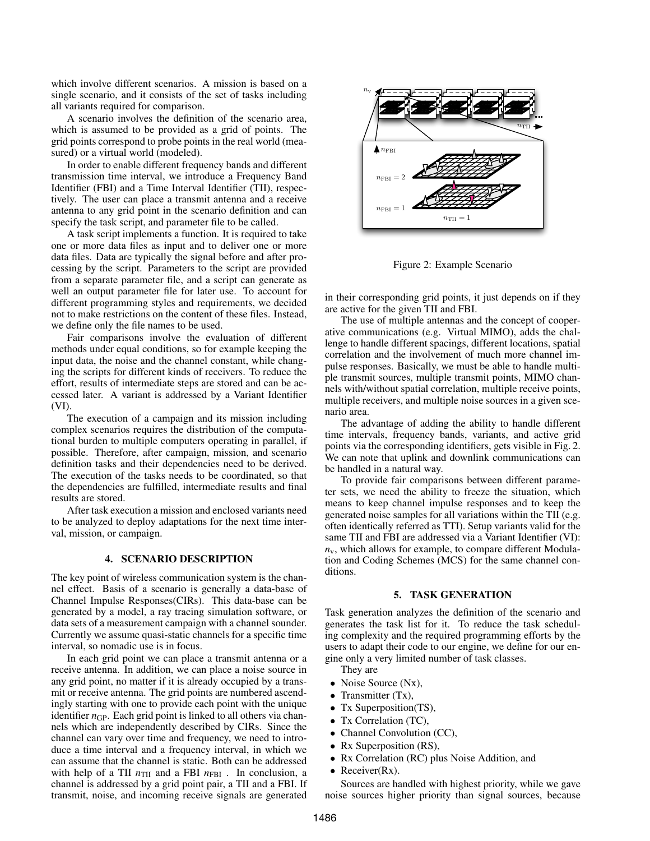which involve different scenarios. A mission is based on a single scenario, and it consists of the set of tasks including all variants required for comparison.

A scenario involves the definition of the scenario area, which is assumed to be provided as a grid of points. The grid points correspond to probe points in the real world (measured) or a virtual world (modeled).

In order to enable different frequency bands and different transmission time interval, we introduce a Frequency Band Identifier (FBI) and a Time Interval Identifier (TII), respectively. The user can place a transmit antenna and a receive antenna to any grid point in the scenario definition and can specify the task script, and parameter file to be called.

A task script implements a function. It is required to take one or more data files as input and to deliver one or more data files. Data are typically the signal before and after processing by the script. Parameters to the script are provided from a separate parameter file, and a script can generate as well an output parameter file for later use. To account for different programming styles and requirements, we decided not to make restrictions on the content of these files. Instead, we define only the file names to be used.

Fair comparisons involve the evaluation of different methods under equal conditions, so for example keeping the input data, the noise and the channel constant, while changing the scripts for different kinds of receivers. To reduce the effort, results of intermediate steps are stored and can be accessed later. A variant is addressed by a Variant Identifier (VI).

The execution of a campaign and its mission including complex scenarios requires the distribution of the computational burden to multiple computers operating in parallel, if possible. Therefore, after campaign, mission, and scenario definition tasks and their dependencies need to be derived. The execution of the tasks needs to be coordinated, so that the dependencies are fulfilled, intermediate results and final results are stored.

After task execution a mission and enclosed variants need to be analyzed to deploy adaptations for the next time interval, mission, or campaign.

## 4. SCENARIO DESCRIPTION

The key point of wireless communication system is the channel effect. Basis of a scenario is generally a data-base of Channel Impulse Responses(CIRs). This data-base can be generated by a model, a ray tracing simulation software, or data sets of a measurement campaign with a channel sounder. Currently we assume quasi-static channels for a specific time interval, so nomadic use is in focus.

In each grid point we can place a transmit antenna or a receive antenna. In addition, we can place a noise source in any grid point, no matter if it is already occupied by a transmit or receive antenna. The grid points are numbered ascendingly starting with one to provide each point with the unique identifier  $n_{GP}$ . Each grid point is linked to all others via channels which are independently described by CIRs. Since the channel can vary over time and frequency, we need to introduce a time interval and a frequency interval, in which we can assume that the channel is static. Both can be addressed with help of a TII  $n_{\text{TH}}$  and a FBI  $n_{\text{FBI}}$ . In conclusion, a channel is addressed by a grid point pair, a TII and a FBI. If transmit, noise, and incoming receive signals are generated



Figure 2: Example Scenario

in their corresponding grid points, it just depends on if they are active for the given TII and FBI.

The use of multiple antennas and the concept of cooperative communications (e.g. Virtual MIMO), adds the challenge to handle different spacings, different locations, spatial correlation and the involvement of much more channel impulse responses. Basically, we must be able to handle multiple transmit sources, multiple transmit points, MIMO channels with/without spatial correlation, multiple receive points, multiple receivers, and multiple noise sources in a given scenario area.

The advantage of adding the ability to handle different time intervals, frequency bands, variants, and active grid points via the corresponding identifiers, gets visible in Fig. 2. We can note that uplink and downlink communications can be handled in a natural way.

To provide fair comparisons between different parameter sets, we need the ability to freeze the situation, which means to keep channel impulse responses and to keep the generated noise samples for all variations within the TII (e.g. often identically referred as TTI). Setup variants valid for the same TII and FBI are addressed via a Variant Identifier (VI):  $n_v$ , which allows for example, to compare different Modulation and Coding Schemes (MCS) for the same channel conditions.

## 5. TASK GENERATION

Task generation analyzes the definition of the scenario and generates the task list for it. To reduce the task scheduling complexity and the required programming efforts by the users to adapt their code to our engine, we define for our engine only a very limited number of task classes.

They are

- Noise Source (Nx),
- Transmitter (Tx),
- Tx Superposition(TS),
- Tx Correlation (TC).
- Channel Convolution (CC),
- Rx Superposition (RS),
- Rx Correlation (RC) plus Noise Addition, and
- Receiver $(Rx)$ .

Sources are handled with highest priority, while we gave noise sources higher priority than signal sources, because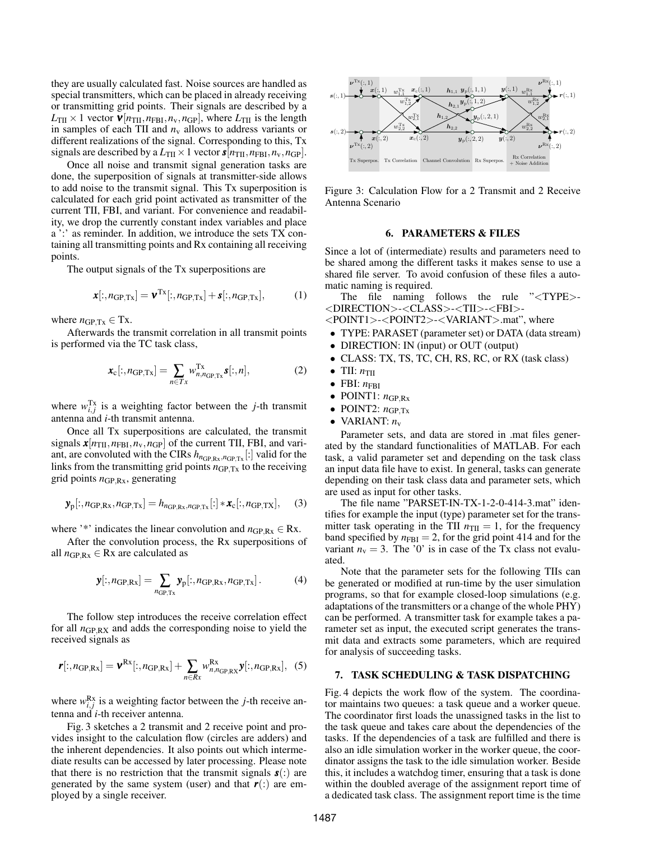they are usually calculated fast. Noise sources are handled as special transmitters, which can be placed in already receiving or transmitting grid points. Their signals are described by a  $L_{\text{TH}} \times 1$  vector  $\mathbf{v}[n_{\text{TH}}, n_{\text{FBI}}, n_{\text{v}}, n_{\text{GP}}]$ , where  $L_{\text{TH}}$  is the length in samples of each TII and  $n_v$  allows to address variants or different realizations of the signal. Corresponding to this, Tx signals are described by a  $L_{\text{TI}} \times 1$  vector  $\mathbf{s}[n_{\text{TI}}, n_{\text{FBI}}, n_{\text{v}}, n_{\text{GP}}].$ 

Once all noise and transmit signal generation tasks are done, the superposition of signals at transmitter-side allows to add noise to the transmit signal. This Tx superposition is calculated for each grid point activated as transmitter of the current TII, FBI, and variant. For convenience and readability, we drop the currently constant index variables and place a ':' as reminder. In addition, we introduce the sets TX containing all transmitting points and Rx containing all receiving points.

The output signals of the Tx superpositions are

$$
\boldsymbol{x}[:, n_{\text{GP,Tx}}] = \boldsymbol{v}^{\text{Tx}}[:, n_{\text{GP,Tx}}] + \boldsymbol{s}[:, n_{\text{GP,Tx}}],
$$
 (1)

where  $n_{\text{GP,Tx}} \in \text{Tx}$ .

Afterwards the transmit correlation in all transmit points is performed via the TC task class,

$$
\boldsymbol{x}_{\mathrm{c}}[:, n_{\mathrm{GP,Tx}}] = \sum_{n \in T_{\mathrm{x}}} w_{n,n_{\mathrm{GP,Tx}}}^{\mathrm{Tx}} \boldsymbol{s}[:, n], \qquad (2)
$$

where  $w_{i,j}^{\text{Tx}}$  is a weighting factor between the *j*-th transmit antenna and *i*-th transmit antenna.

Once all Tx superpositions are calculated, the transmit signals  $\mathbf{x}[n_{\text{TI}}, n_{\text{FBI}}, n_{\text{v}}, n_{\text{GP}}]$  of the current TII, FBI, and variant, are convoluted with the CIRs  $h_{nGP,Rx,nGP,Tx}$ [:] valid for the links from the transmitting grid points  $n_{\text{GP,Tx}}$  to the receiving grid points  $n_{GP,Rx}$ , generating

$$
\mathbf{y}_{\mathrm{p}}[:, n_{\mathrm{GP,Rx}}, n_{\mathrm{GP,Tx}}] = h_{n_{\mathrm{GP,Rx}}, n_{\mathrm{GP,Tx}}}[:] * \mathbf{x}_{\mathrm{c}}[:, n_{\mathrm{GP,Tx}}], \quad (3)
$$

where '\*' indicates the linear convolution and  $n_{GP,Rx} \in Rx$ .

After the convolution process, the Rx superpositions of all  $n_{GP,Rx} \in Rx$  are calculated as

$$
\mathbf{y}[:, n_{\text{GP,Rx}}] = \sum_{n_{\text{GP,Tx}}} \mathbf{y}_{\text{p}}[:, n_{\text{GP,Rx}}, n_{\text{GP,Tx}}]. \tag{4}
$$

The follow step introduces the receive correlation effect for all *n*GP,RX and adds the corresponding noise to yield the received signals as

$$
\boldsymbol{r}[:, n_{\text{GP,Rx}}] = \boldsymbol{v}^{\text{Rx}}[:, n_{\text{GP,Rx}}] + \sum_{n \in Rx} w_{n,n_{\text{GP,Rx}}}^{\text{Rx}} \boldsymbol{y}[:, n_{\text{GP,Rx}}], \quad (5)
$$

where  $w_{i,j}^{\text{Rx}}$  is a weighting factor between the *j*-th receive antenna and *i*-th receiver antenna.

Fig. 3 sketches a 2 transmit and 2 receive point and provides insight to the calculation flow (circles are adders) and the inherent dependencies. It also points out which intermediate results can be accessed by later processing. Please note that there is no restriction that the transmit signals *s*(:) are generated by the same system (user) and that  $r($ :) are em-



Figure 3: Calculation Flow for a 2 Transmit and 2 Receive Antenna Scenario

## 6. PARAMETERS & FILES

Since a lot of (intermediate) results and parameters need to be shared among the different tasks it makes sense to use a shared file server. To avoid confusion of these files a automatic naming is required.

The file naming follows the rule "<TYPE>- <DIRECTION>-<CLASS>-<TII>-<FBI>-

<POINT1>-<POINT2>-<VARIANT>.mat", where

- TYPE: PARASET (parameter set) or DATA (data stream)
- DIRECTION: IN (input) or OUT (output)
- CLASS: TX, TS, TC, CH, RS, RC, or RX (task class)
- TII:  $n_{\text{TH}}$
- $\bullet$  FBI:  $n_{\text{FBI}}$
- POINT1:  $n_{\text{GP,Rx}}$
- POINT2:  $n_{\text{GP,Tx}}$
- VARIANT:  $n_v$

Parameter sets, and data are stored in .mat files generated by the standard functionalities of MATLAB. For each task, a valid parameter set and depending on the task class an input data file have to exist. In general, tasks can generate depending on their task class data and parameter sets, which are used as input for other tasks.

The file name "PARSET-IN-TX-1-2-0-414-3.mat" identifies for example the input (type) parameter set for the transmitter task operating in the TII  $n_{\text{TI}} = 1$ , for the frequency band specified by  $n_{\text{FBI}} = 2$ , for the grid point 414 and for the variant  $n_v = 3$ . The '0' is in case of the Tx class not evaluated.

Note that the parameter sets for the following TIIs can be generated or modified at run-time by the user simulation programs, so that for example closed-loop simulations (e.g. adaptations of the transmitters or a change of the whole PHY) can be performed. A transmitter task for example takes a parameter set as input, the executed script generates the transmit data and extracts some parameters, which are required for analysis of succeeding tasks.

## 7. TASK SCHEDULING & TASK DISPATCHING

production split of the single plane in place is also becomes the single receiver. The single receiver is a single receiver. The single receiver is a single receiver. The single receiver is a single receiver. The single r Fig. 4 depicts the work flow of the system. The coordinator maintains two queues: a task queue and a worker queue. The coordinator first loads the unassigned tasks in the list to the task queue and takes care about the dependencies of the tasks. If the dependencies of a task are fulfilled and there is also an idle simulation worker in the worker queue, the coordinator assigns the task to the idle simulation worker. Beside this, it includes a watchdog timer, ensuring that a task is done within the doubled average of the assignment report time of a dedicated task class. The assignment report time is the time